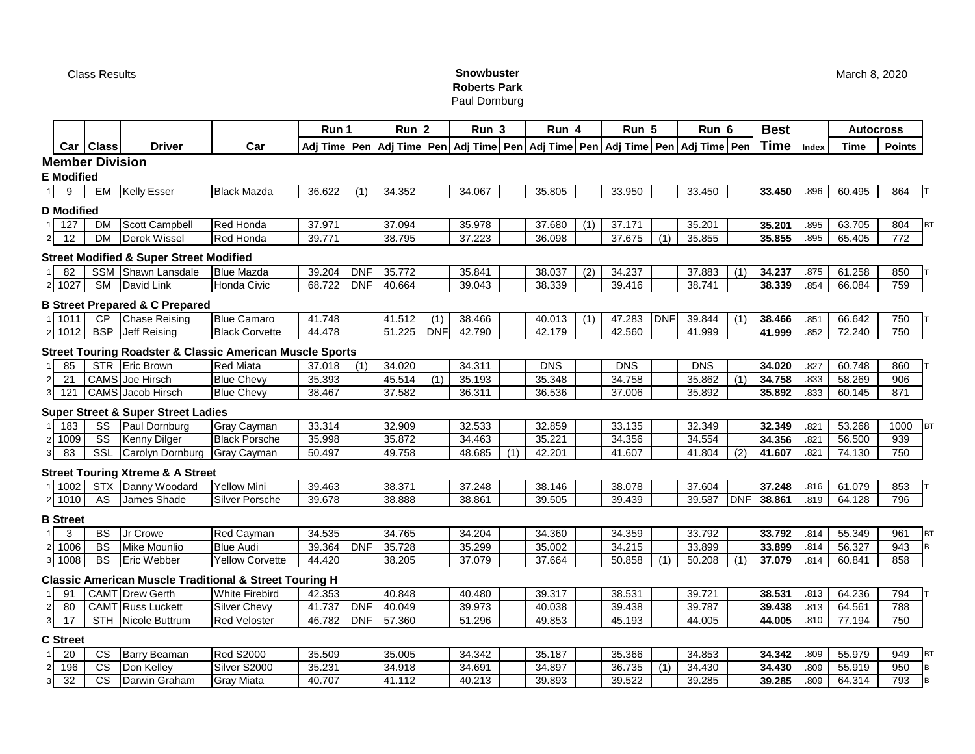## Class Results **Snowbuster Roberts Park**

Paul Dornburg

|                |                   |                        |                                                                                          |                        | Run 1  |            | Run <sub>2</sub> |     | Run 3  |     | Run 4      |     | Run 5                                                                                      |            | Run 6      |            | <b>Best</b> |       | <b>Autocross</b> |               |           |  |
|----------------|-------------------|------------------------|------------------------------------------------------------------------------------------|------------------------|--------|------------|------------------|-----|--------|-----|------------|-----|--------------------------------------------------------------------------------------------|------------|------------|------------|-------------|-------|------------------|---------------|-----------|--|
|                | Car               | <b>Class</b>           | Driver                                                                                   | Car                    |        |            |                  |     |        |     |            |     | Adj Time Pen Adj Time Pen Adj Time Pen Adj Time Pen Adj Time Pen Adj Time Pen Adj Time Pen |            |            |            | Time        | Index | Time             | <b>Points</b> |           |  |
|                |                   | <b>Member Division</b> |                                                                                          |                        |        |            |                  |     |        |     |            |     |                                                                                            |            |            |            |             |       |                  |               |           |  |
|                | <b>E</b> Modified |                        |                                                                                          |                        |        |            |                  |     |        |     |            |     |                                                                                            |            |            |            |             |       |                  |               |           |  |
|                | 9                 | EM                     | <b>Kelly Esser</b>                                                                       | <b>Black Mazda</b>     | 36.622 | (1)        | 34.352           |     | 34.067 |     | 35.805     |     | 33.950                                                                                     |            | 33.450     |            | 33.450      | .896  | 60.495           | 864           |           |  |
|                | <b>D</b> Modified |                        |                                                                                          |                        |        |            |                  |     |        |     |            |     |                                                                                            |            |            |            |             |       |                  |               |           |  |
|                | 127               | DM                     | Scott Campbell                                                                           | <b>Red Honda</b>       | 37.971 |            | 37.094           |     | 35.978 |     | 37.680     | (1) | 37.171                                                                                     |            | 35.201     |            | 35.201      | .895  | 63.705           | 804           | <b>BT</b> |  |
| $\overline{2}$ | 12                | <b>DM</b>              | <b>Derek Wissel</b>                                                                      | <b>Red Honda</b>       | 39.771 |            | 38.795           |     | 37.223 |     | 36.098     |     | 37.675                                                                                     | (1)        | 35.855     |            | 35.855      | .895  | 65.405           | 772           |           |  |
|                |                   |                        | <b>Street Modified &amp; Super Street Modified</b>                                       |                        |        |            |                  |     |        |     |            |     |                                                                                            |            |            |            |             |       |                  |               |           |  |
|                | 82                | SSM                    | Shawn Lansdale                                                                           | <b>Blue Mazda</b>      | 39.204 | <b>DNF</b> | 35.772           |     | 35.841 |     | 38.037     | (2) | 34.237                                                                                     |            | 37.883     | (1)        | 34.237      | .875  | 61.258           | 850           |           |  |
| $\overline{2}$ | 1027              | <b>SM</b>              | David Link                                                                               | Honda Civic            | 68.722 | <b>DNF</b> | 40.664           |     | 39.043 |     | 38.339     |     | 39.416                                                                                     |            | 38.741     |            | 38.339      | .854  | 66.084           | 759           |           |  |
|                |                   |                        | <b>B Street Prepared &amp; C Prepared</b>                                                |                        |        |            |                  |     |        |     |            |     |                                                                                            |            |            |            |             |       |                  |               |           |  |
|                | 1011              | CP                     | <b>Chase Reising</b>                                                                     | <b>Blue Camaro</b>     | 41.748 |            | 41.512           | (1) | 38.466 |     | 40.013     | (1) | 47.283                                                                                     | <b>DNF</b> | 39.844     | (1)        | 38.466      | .851  | 66.642           | 750           |           |  |
| $2 \mid$       | 1012              | <b>BSP</b>             | Jeff Reising                                                                             | <b>Black Corvette</b>  | 44.478 |            | 51.225           | DNF | 42.790 |     | 42.179     |     | 42.560                                                                                     |            | 41.999     |            | 41.999      | .852  | 72.240           | 750           |           |  |
|                |                   |                        |                                                                                          |                        |        |            |                  |     |        |     |            |     |                                                                                            |            |            |            |             |       |                  |               |           |  |
|                | 85                | <b>STR</b>             | <b>Street Touring Roadster &amp; Classic American Muscle Sports</b><br><b>Eric Brown</b> | <b>Red Miata</b>       | 37.018 | (1)        | 34.020           |     | 34.311 |     | <b>DNS</b> |     | <b>DNS</b>                                                                                 |            | <b>DNS</b> |            | 34.020      | .827  | 60.748           | 860           |           |  |
| $\overline{c}$ | 21                |                        | <b>CAMS</b> Joe Hirsch                                                                   | <b>Blue Chevy</b>      | 35.393 |            | 45.514           | (1) | 35.193 |     | 35.348     |     | 34.758                                                                                     |            | 35.862     | (1)        | 34.758      | .833  | 58.269           | 906           |           |  |
| 3              | 121               |                        | CAMS Jacob Hirsch                                                                        | <b>Blue Chevy</b>      | 38.467 |            | 37.582           |     | 36.311 |     | 36.536     |     | 37.006                                                                                     |            | 35.892     |            | 35.892      | .833  | 60.145           | 871           |           |  |
|                |                   |                        | <b>Super Street &amp; Super Street Ladies</b>                                            |                        |        |            |                  |     |        |     |            |     |                                                                                            |            |            |            |             |       |                  |               |           |  |
|                | 183               | SS                     | Paul Dornburg                                                                            | Gray Cayman            | 33.314 |            | 32.909           |     | 32.533 |     | 32.859     |     | 33.135                                                                                     |            | 32.349     |            | 32.349      | .821  | 53.268           | 1000          | <b>BT</b> |  |
| $\overline{2}$ | 1009              | $\overline{\text{ss}}$ | <b>Kenny Dilger</b>                                                                      | <b>Black Porsche</b>   | 35.998 |            | 35.872           |     | 34.463 |     | 35.221     |     | 34.356                                                                                     |            | 34.554     |            | 34.356      | .821  | 56.500           | 939           |           |  |
| 3              | 83                | SSL                    | Carolyn Dornburg                                                                         | Gray Cayman            | 50.497 |            | 49.758           |     | 48.685 | (1) | 42.201     |     | 41.607                                                                                     |            | 41.804     | (2)        | 41.607      | .821  | 74.130           | 750           |           |  |
|                |                   |                        | <b>Street Touring Xtreme &amp; A Street</b>                                              |                        |        |            |                  |     |        |     |            |     |                                                                                            |            |            |            |             |       |                  |               |           |  |
|                | 1002              | <b>STX</b>             | Danny Woodard                                                                            | <b>Yellow Mini</b>     | 39.463 |            | 38.371           |     | 37.248 |     | 38.146     |     | 38.078                                                                                     |            | 37.604     |            | 37.248      | .816  | 61.079           | 853           |           |  |
| $\overline{2}$ | 1010              | AS                     | James Shade                                                                              | Silver Porsche         | 39.678 |            | 38.888           |     | 38.861 |     | 39.505     |     | 39.439                                                                                     |            | 39.587     | <b>DNF</b> | 38.861      | .819  | 64.128           | 796           |           |  |
|                | <b>B</b> Street   |                        |                                                                                          |                        |        |            |                  |     |        |     |            |     |                                                                                            |            |            |            |             |       |                  |               |           |  |
|                | 3                 | BS                     | Jr Crowe                                                                                 | Red Cayman             | 34.535 |            | 34.765           |     | 34.204 |     | 34.360     |     | 34.359                                                                                     |            | 33.792     |            | 33.792      | .814  | 55.349           | 961           | <b>BT</b> |  |
| $\overline{2}$ | 1006              | <b>BS</b>              | Mike Mounlio                                                                             | <b>Blue Audi</b>       | 39.364 | <b>DNF</b> | 35.728           |     | 35.299 |     | 35.002     |     | 34.215                                                                                     |            | 33.899     |            | 33.899      | .814  | 56.327           | 943           | B         |  |
| 3              | 1008              | <b>BS</b>              | Eric Webber                                                                              | <b>Yellow Corvette</b> | 44.420 |            | 38.205           |     | 37.079 |     | 37.664     |     | 50.858                                                                                     | (1)        | 50.208     | (1)        | 37.079      | .814  | 60.841           | 858           |           |  |
|                |                   |                        | <b>Classic American Muscle Traditional &amp; Street Touring H</b>                        |                        |        |            |                  |     |        |     |            |     |                                                                                            |            |            |            |             |       |                  |               |           |  |
|                | 91                |                        | CAMT Drew Gerth                                                                          | <b>White Firebird</b>  | 42.353 |            | 40.848           |     | 40.480 |     | 39.317     |     | 38.531                                                                                     |            | 39.721     |            | 38.531      | .813  | 64.236           | 794           |           |  |
| $\overline{2}$ | 80                |                        | <b>CAMT</b> Russ Luckett                                                                 | Silver Chevy           | 41.737 | <b>DNF</b> | 40.049           |     | 39.973 |     | 40.038     |     | 39.438                                                                                     |            | 39.787     |            | 39.438      | .813  | 64.561           | 788           |           |  |
| 3              | 17                | <b>STH</b>             | Nicole Buttrum                                                                           | <b>Red Veloster</b>    | 46.782 | <b>DNF</b> | 57.360           |     | 51.296 |     | 49.853     |     | 45.193                                                                                     |            | 44.005     |            | 44.005      | .810  | 77.194           | 750           |           |  |
|                | <b>C</b> Street   |                        |                                                                                          |                        |        |            |                  |     |        |     |            |     |                                                                                            |            |            |            |             |       |                  |               |           |  |
|                | 20                | <b>CS</b>              | <b>Barry Beaman</b>                                                                      | <b>Red S2000</b>       | 35.509 |            | 35.005           |     | 34.342 |     | 35.187     |     | 35.366                                                                                     |            | 34.853     |            | 34.342      | .809  | 55.979           | 949           | <b>BT</b> |  |
| $\overline{2}$ | 196               | CS                     | Don Kelley                                                                               | Silver S2000           | 35.231 |            | 34.918           |     | 34.691 |     | 34.897     |     | 36.735                                                                                     | (1)        | 34.430     |            | 34.430      | .809  | 55.919           | 950           | B         |  |
| 3              | 32                | <b>CS</b>              | Darwin Graham                                                                            | Gray Miata             | 40.707 |            | 41.112           |     | 40.213 |     | 39.893     |     | 39.522                                                                                     |            | 39.285     |            | 39.285      | .809  | 64.314           | 793           | B         |  |

March 8, 2020